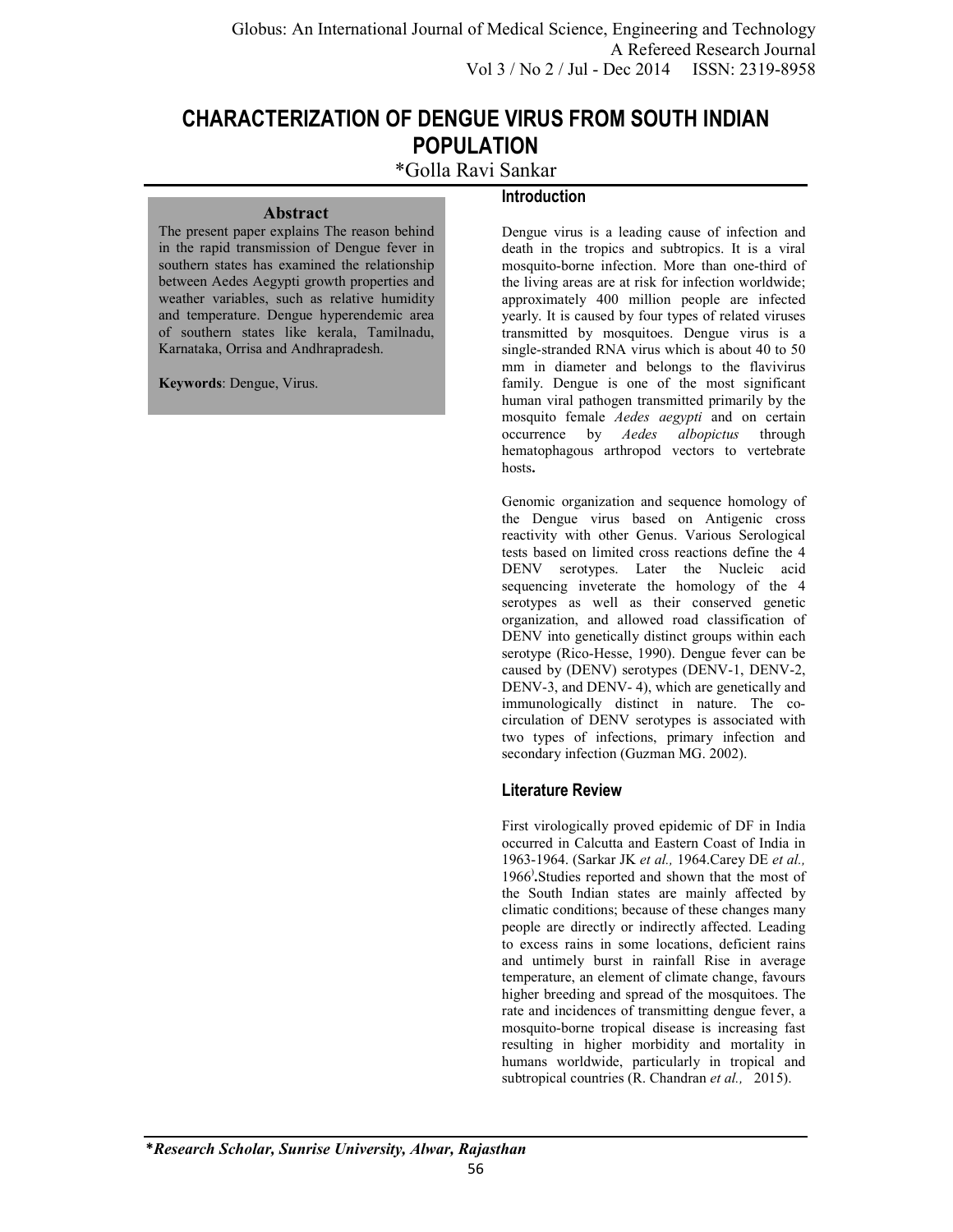**Introduction** 

# **CHARACTERIZATION OF DENGUE VIRUS FROM SOUTH INDIAN POPULATION**

\*Golla Ravi Sankar

The present paper explains The reason behind in the rapid transmission of Dengue fever in southern states has examined the relationship between Aedes Aegypti growth properties and weather variables, such as relative humidity and temperature. Dengue hyperendemic area of southern states like kerala, Tamilnadu, Karnataka, Orrisa and Andhrapradesh.

**Abstract** 

**Keywords**: Dengue, Virus.

Dengue virus is a leading cause of infection and death in the tropics and subtropics. It is a viral mosquito-borne infection. More than one-third of the living areas are at risk for infection worldwide; approximately 400 million people are infected yearly. It is caused by four types of related viruses transmitted by mosquitoes. Dengue virus is a single-stranded RNA virus which is about 40 to 50 mm in diameter and belongs to the flavivirus family. Dengue is one of the most significant human viral pathogen transmitted primarily by the mosquito female *Aedes aegypti* and on certain occurrence by *Aedes albopictus* through hematophagous arthropod vectors to vertebrate hosts**.**

Genomic organization and sequence homology of the Dengue virus based on Antigenic cross reactivity with other Genus. Various Serological tests based on limited cross reactions define the 4 DENV serotypes. Later the Nucleic acid sequencing inveterate the homology of the 4 serotypes as well as their conserved genetic organization, and allowed road classification of DENV into genetically distinct groups within each serotype (Rico-Hesse, 1990). Dengue fever can be caused by (DENV) serotypes (DENV-1, DENV-2, DENV-3, and DENV- 4), which are genetically and immunologically distinct in nature. The cocirculation of DENV serotypes is associated with two types of infections, primary infection and secondary infection (Guzman MG. 2002).

# **Literature Review**

First virologically proved epidemic of DF in India occurred in Calcutta and Eastern Coast of India in 1963-1964. (Sarkar JK *et al.,* 1964.Carey DE *et al.,* 1966) **.**Studies reported and shown that the most of the South Indian states are mainly affected by climatic conditions; because of these changes many people are directly or indirectly affected. Leading to excess rains in some locations, deficient rains and untimely burst in rainfall Rise in average temperature, an element of climate change, favours higher breeding and spread of the mosquitoes. The rate and incidences of transmitting dengue fever, a mosquito-borne tropical disease is increasing fast resulting in higher morbidity and mortality in humans worldwide, particularly in tropical and subtropical countries (R. Chandran *et al.,* 2015).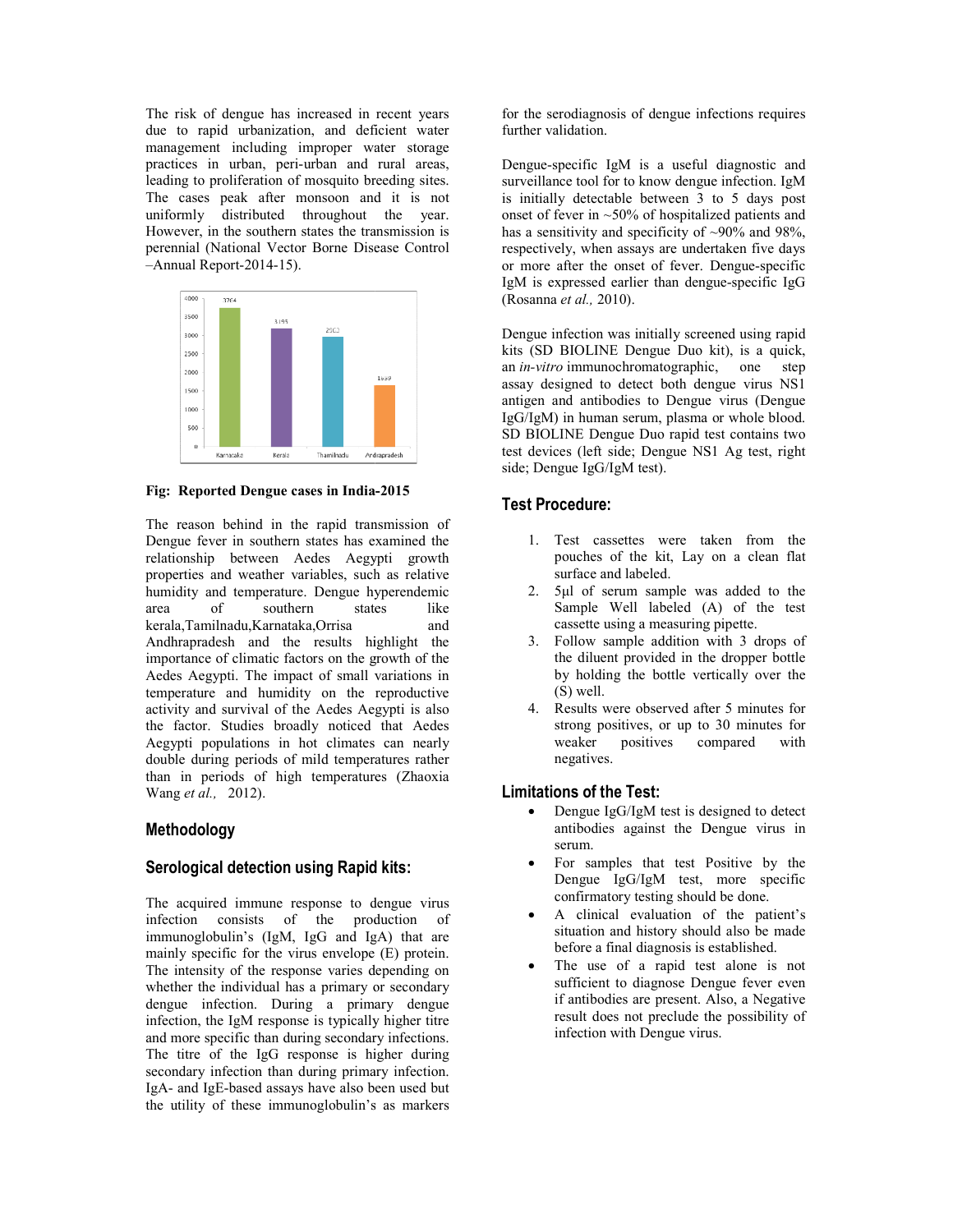The risk of dengue has increased in recent years due to rapid urbanization, and deficient water management including improper water storage practices in urban, peri-urban and rural areas, leading to proliferation of mosquito breeding sites. The cases peak after monsoon and it is not uniformly distributed throughout the year. However, in the southern states the transmission is perennial (National Vector Borne Disease Control –Annual Report-2014-15). The risk of dengue has increased due to rapid urbanization, and comanagement including improper practices in urban, peri-urban an leading to proliferation of mosquito The cases peak after monsoon uniformly distributed thro



**Fig: Reported Dengue cases in India India-2015** 

The reason behind in the rapid transmission of Dengue fever in southern states has examined the The reason behind in the rapid transmission of<br>Dengue fever in southern states has examined the<br>relationship between Aedes Aegypti growth properties and weather variables, such as relative humidity and temperature. Dengue hyperendemic area of southern states like kerala,Tamilnadu,Karnataka,Orrisa and Andhrapradesh and the results highlight the importance of climatic factors on the growth of the Aedes Aegypti. The impact of small variations in temperature and humidity on the reproductive activity and survival of the Aedes Aegypti is also the factor. Studies broadly noticed that Aedes Aegypti populations in hot climates can nearly double during periods of mild temperatures rather than in periods of high temperatures (Zhaoxia in Wang *et al.,* 2012). ities and weather variables, such as relative<br>ity and temperature. Dengue hyperendemic<br>of southern states like<br>Tamilnadu,Karnataka,Orrisa and<br>apradesh and the results highlight the<br>ance of climatic factors on the growth of

### **Methodology**

## **Serological detection using Rapid kits: tection**

The acquired immune response to dengue virus infection consists of the production of immunoglobulin's (IgM, IgG and IgA) that are mainly specific for the virus envelope (E) protein. The intensity of the response varies depending on whether the individual has a primary or secondary dengue infection. During a primary dengue infection, the IgM response is typically higher titre and more specific than during secondary infections. The titre of the IgG response is higher during secondary infection than during primary infection. IgA- and IgE-based assays have also been used but the utility of these immunoglobulin's The acquired immune response to dengue virus<br>infection consists of the production of<br>immunoglobulin's (IgM, IgG and IgA) that are<br>mainly specific for the virus envelope (E) protein.<br>The intensity of the response varies dep for the serodiagnosis of dengue infections requires further validation.

Dengue-specific IgM is a useful diagnostic and surveillance tool for to know dengue infection. IgM is initially detectable between 3 to 5 days post onset of fever in  $~50\%$  of hospitalized patients and has a sensitivity and specificity of  $\sim 90\%$  and 98%, respectively, when assays are undertaken five days or more after the onset of fever. Dengue IgM is expressed earlier than dengue-specific IgG (Rosanna *et al.,* 2010). erodiagnosis of dengue infections requires<br>alidation.<br>specific IgM is a useful diagnostic and<br>nce tool for to know dengue infection. IgM<br>ly detectable between 3 to 5 days post<br>fever in ~50% of hospitalized patients and a sensitivity and specificity of  $\sim$ 90% and 98%, pectively, when assays are undertaken five days more after the onset of fever. Dengue-specific

Dengue infection was initially screened using rapid kits (SD BIOLINE Dengue Duo kit), is a quick, an *in-vitro* immunochromatographic, one step assay designed to detect both dengue virus NS1 antigen and antibodies to Dengue virus (Dengue IgG/IgM) in human serum, plasma or whole blood. SD BIOLINE Dengue Duo rapid test contains two test devices (left side; Dengue NS1 Ag test, right side; Dengue IgG/IgM test). Dengue infection was initially screened using rat<br>
kits (SD BIOLINE Dengue Duo kit), is a quid<br>
an *in-vitro* immunochromatographic, one stassay designed to detect both dengue virus N<br>
antigen and antibodies to Dengue vir

### **Test Procedure:**

- 1. Test cassettes were taken from the pouches of the kit, Lay on a clean flat surface and labeled.
- 2. 5μl of serum sample was added to the Sample Well labeled (A) of the test cassette using a measuring pipette.
- 3. Follow sample addition with 3 drops of the diluent provided in the dropper bottle by holding the bottle vertically over the (S) well.
- 4. Results were observed after 5 minutes for strong positives, or up to 30 minutes for weaker positives compared with negatives.

#### **Limitations of the Test:**

- Dengue IgG/IgM test is designed to detect antibodies against the Dengue virus in serum.
- For samples that test Positive by the Dengue IgG/IgM test, more specific confirmatory testing should be done.
- A clinical evaluation of the patient's situation and history should also be made before a final diagnosis is established.
- The use of a rapid test alone is not sufficient to diagnose Dengue fever even if antibodies are present. Also, a Negative result does not preclude the possibility of infection with Dengue virus.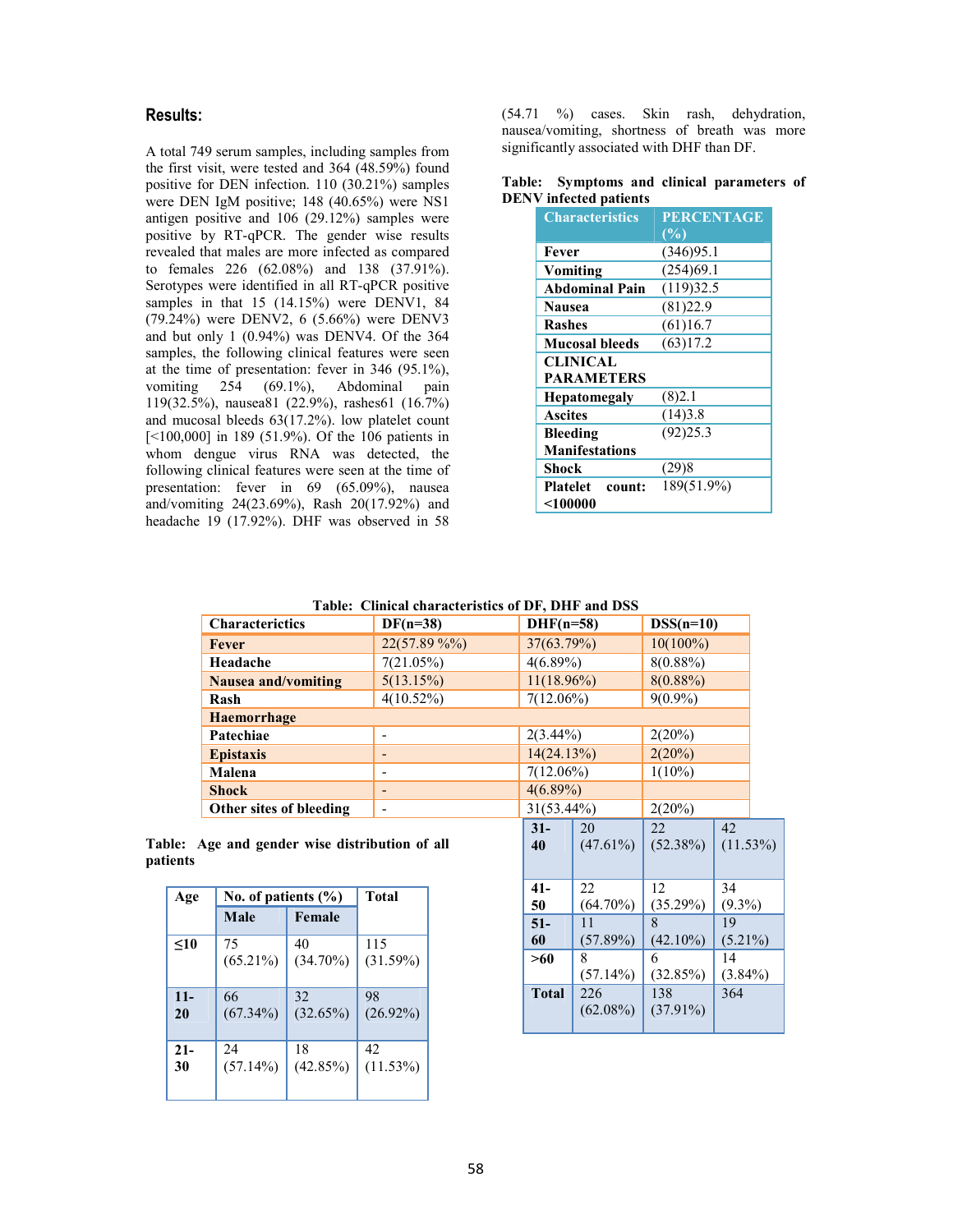# **Results:**

A total 749 serum samples, including samples from the first visit, were tested and 364 (48.59%) found positive for DEN infection. 110 (30.21%) samples were DEN IgM positive; 148 (40.65%) were NS1 antigen positive and 106 (29.12%) samples were positive by RT-qPCR. The gender wise results revealed that males are more infected as compared to females 226 (62.08%) and 138 (37.91%). Serotypes were identified in all RT-qPCR positive samples in that 15 (14.15%) were DENV1, 84 (79.24%) were DENV2, 6 (5.66%) were DENV3 and but only 1 (0.94%) was DENV4. Of the 364 samples, the following clinical features were seen at the time of presentation: fever in 346 (95.1%), vomiting 254 (69.1%), Abdominal pain 119(32.5%), nausea81 (22.9%), rashes61 (16.7%) and mucosal bleeds 63(17.2%). low platelet count [ $100,000$ ] in 189 (51.9%). Of the 106 patients in whom dengue virus RNA was detected, the following clinical features were seen at the time of presentation: fever in 69 (65.09%), nausea and/vomiting 24(23.69%), Rash 20(17.92%) and headache 19 (17.92%). DHF was observed in 58

(54.71 %) cases. Skin rash, dehydration, nausea/vomiting, shortness of breath was more significantly associated with DHF than DF.

#### **Table: Symptoms and clinical parameters of DENV infected patients**

| <b>Characteristics</b> | <b>PERCENTAGE</b> |  |
|------------------------|-------------------|--|
|                        | (%)               |  |
| Fever                  | (346)95.1         |  |
| Vomiting               | (254)69.1         |  |
| <b>Abdominal Pain</b>  | (119)32.5         |  |
| <b>Nausea</b>          | (81)22.9          |  |
| <b>Rashes</b>          | (61)16.7          |  |
| <b>Mucosal bleeds</b>  | (63)17.2          |  |
| CLINICAL               |                   |  |
| <b>PARAMETERS</b>      |                   |  |
| <b>Hepatomegaly</b>    | (8)2.1            |  |
| <b>Ascites</b>         | (14)3.8           |  |
| <b>Bleeding</b>        | (92)25.3          |  |
| <b>Manifestations</b>  |                   |  |
| Shock                  | (29)8             |  |
| Platelet count:        | 189(51.9%)        |  |
| $<$ 100000             |                   |  |

#### **Table: Clinical characteristics of DF, DHF and DSS**

| Table: Chillcal characteristics of Dr. DHF and DSS |                          |               |                 |  |  |  |  |
|----------------------------------------------------|--------------------------|---------------|-----------------|--|--|--|--|
| <b>Characterictics</b>                             | $DF(n=38)$               | $DHF(n=58)$   | $DSS(n=10)$     |  |  |  |  |
| Fever                                              | $22(57.89\%%$            | 37(63.79%)    | $10(100\%)$     |  |  |  |  |
| Headache                                           | 7(21.05%)                | $4(6.89\%)$   | $8(0.88\%)$     |  |  |  |  |
| Nausea and/vomiting                                | 5(13.15%)                | $11(18.96\%)$ | $8(0.88\%)$     |  |  |  |  |
| Rash                                               | $4(10.52\%)$             | $7(12.06\%)$  | $9(0.9\%)$      |  |  |  |  |
| <b>Haemorrhage</b>                                 |                          |               |                 |  |  |  |  |
| Patechiae                                          | ۰                        | $2(3.44\%)$   | 2(20%)          |  |  |  |  |
| <b>Epistaxis</b>                                   | -                        | 14(24.13%)    | 2(20%)          |  |  |  |  |
| Malena                                             | -                        | $7(12.06\%)$  | $1(10\%)$       |  |  |  |  |
| <b>Shock</b>                                       | -                        | $4(6.89\%)$   |                 |  |  |  |  |
| Other sites of bleeding                            | $\overline{\phantom{0}}$ | $31(53.44\%)$ | 2(20%)          |  |  |  |  |
|                                                    |                          | 20<br>21      | $\Lambda$<br>22 |  |  |  |  |

**Table: Age and gender wise distribution of all patients** 

| Age    | No. of patients $(\% )$ | <b>Total</b> |             |
|--------|-------------------------|--------------|-------------|
|        | Male                    | Female       |             |
| $<$ 10 | 75                      | 40           | 115         |
|        | $(65.21\%)$             | $(34.70\%)$  | (31.59%)    |
| $11 -$ | 66                      | 32           | 98          |
| 20     | $(67.34\%)$             | (32.65%)     | $(26.92\%)$ |
| $21 -$ | 24                      | 18           | 42          |
| 30     | $(57.14\%)$             | (42.85%)     | $(11.53\%)$ |

| <i>J</i> I( <i>JJ</i> .44/0) |              | $\angle(\angle U/0)$ |                    |                  |
|------------------------------|--------------|----------------------|--------------------|------------------|
|                              | $31 -$       | 20                   | 22                 | 42               |
|                              | 40           | $(47.61\%)$          | $(52.38\%)$        | $(11.53\%)$      |
|                              | $41-$        | 22                   | 12                 | 34               |
|                              | 50           | $(64.70\%)$          | (35.29%)           | $(9.3\%)$        |
|                              | $51-$        | 11                   | 8                  | 19               |
|                              | 60           | (57.89%)             | $(42.10\%)$        | $(5.21\%)$       |
|                              | >60          | 8<br>$(57.14\%)$     | 6<br>(32.85%)      | 14<br>$(3.84\%)$ |
|                              | <b>Total</b> | 226<br>$(62.08\%)$   | 138<br>$(37.91\%)$ | 364              |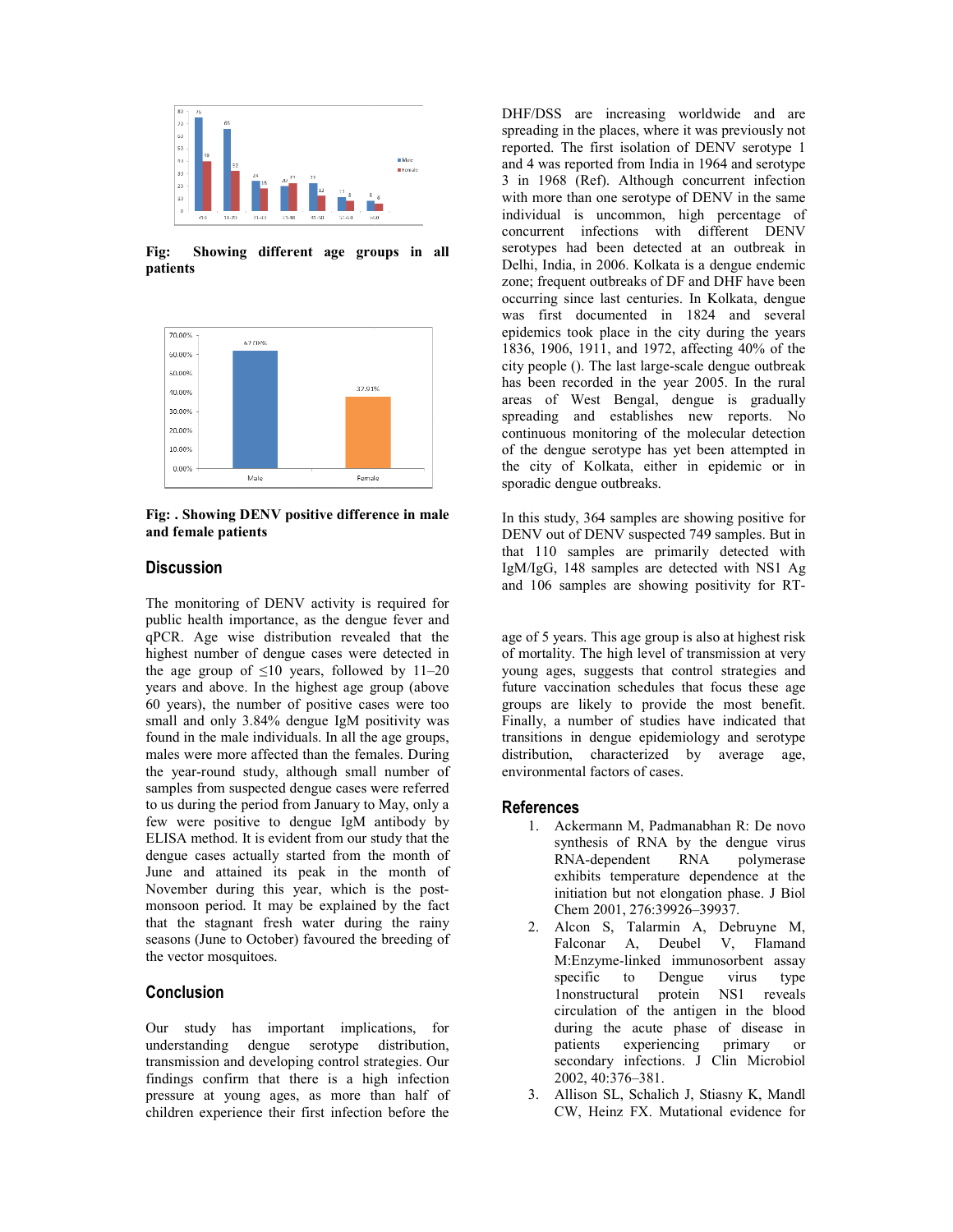

**Fig: Showing different age groups in all patients** 



**Fig: . Showing DENV positive difference in male and female patients** 

### **Discussion**

The monitoring of DENV activity is required for public health importance, as the dengue fever and qPCR. Age wise distribution revealed that the highest number of dengue cases were detected in highest number of dengue cases were detected in the age group of  $\leq 10$  years, followed by 11–20 years and above. In the highest age group (above 60 years), the number of positive cases were too small and only 3.84% dengue IgM positivity was found in the male individuals. In all the age groups, males were more affected than the females. During the year-round study, although small number of samples from suspected dengue cases were referred to us during the period from January to May, only a few were positive to dengue IgM antibody by ELISA method. It is evident from our study tha dengue cases actually started from the month of June and attained its peak in the month of November during this year, which is the post monsoon period. It may be explained by the fact that the stagnant fresh water during the rainy seasons (June to October) favoured the breeding of the vector mosquitoes. and above. In the highest age group (above<br>ars), the number of positive cases were too<br>and only 3.84% dengue IgM positivity was<br>in the male individuals. In all the age groups,<br>were more affected than the females. During<br>aa from the month of<br>in the month of<br>which is the postqPCR. Age wise distibution revealed that the sag eron of Syears. This age group is also at highest risk<br>the payer as a manyor of SID years, followed by 11-20<br>years and above. In the highest group (above<br>of three age compos

# **Conclusion**

Our study has important implications, for understanding dengue serotype distribution, transmission and developing control strategies. Our findings confirm that there is a high infection pressure at young ages, as more than half of children experience their first infection before the

DHF/DSS are increasing worldwide and are<br>  $\frac{1}{2}$  and  $\frac{1}{2}$  and  $\frac{1}{2}$  and  $\frac{1}{2}$  and  $\frac{1}{2}$  and  $\frac{1}{2}$  and  $\frac{1}{2}$  and  $\frac{1}{2}$  and  $\frac{1}{2}$  and  $\frac{1}{2}$  and  $\frac{1}{2}$  and  $\frac{1}{2}$  and  $\frac{1}{2}$  a spreading in the places, where it was previously not reported. The first isolation of DENV serotype 1 and 4 was reported from India in 1964 and serotype 3 in 1968 (Ref). Although concurrent infection with more than one serotype of DENV in the same individual is uncommon, high percentage of concurrent infections with different DENV serotypes had been detected at an outbreak in Delhi, India, in 2006. Kolkata is a dengue endemic zone; frequent outbreaks of DF and DHF have been occurring since last centuries. In Kolkata, dengue was first documented in 1824 and several epidemics took place in the city during the years 1836, 1906, 1911, and 1972, affecting 40% of the city people (). The last large-scale dengue outbreak has been recorded in the year 2005. In the rural areas of West Bengal, dengue is gradually spreading and establishes new reports. No continuous monitoring of the molecular detection of the dengue serotype has yet been attempted in the city of Kolkata, either in epidemic or in sporadic dengue outbreaks. spreading in the places, where it was previously not<br>reported. The first isolation of DENV serotype 1<br>and 4 was reported from India in 1964 and serotype<br>3 in 1968 (Ref). Although concurrent infection<br>with more than one ser Delhi, India, in 2006. Kolkata is a dengue endemic<br>zone; frequent outbreaks of DF and DHF have been<br>occurring since last centuries. In Kolkata, dengue<br>was first documented in 1824 and several<br>epidemics took place in the ci

In this study, 364 samples are showing positive for DENV out of DENV suspected 749 samples. But i that 110 samples are primarily detected with IgM/IgG, 148 samples are detected with NS1 Ag IgM/IgG, 148 samples are detected with NS1 Ag<br>and 106 samples are showing positivity for RT-

of mortality. The high level of transmission at very young ages, suggests that control strategies and future vaccination schedules that focus these age groups are likely to provide the most benefit. Finally, a number of studies have indicated that transitions in dengue epidemiology and serotype distribution, characterized by average age, environmental factors of cases. at suggests strategies and vaccination schedules that focus these age are likely to provide the most benefit, a number of studies have indicated that ons in dengue epidemiology and serotype thion, characterized by average

#### **References**

- 1. Ackermann M, Padmanabhan synthesis of RNA by the dengue virus<br>RNA-dependent RNA polymerase RNA-dependent RNA exhibits temperature dependence at the initiation but not elongation phase. J Biol synthesis of RNA by the de<br>
RNA-dependent RNA <br>
exhibits temperature dependent<br>
initiation but not elongation ph<br>
Chem 2001, 276:39926–39937.
- 2. Alcon S, Talarmin A, Debruyne M, Falconar A, Deubel V, Flamand M:Enzyme-linked immunosorbent assay specific to Dengue virus type 1nonstructural protein NS1 reveals circulation of the antigen in the blood during the acute phase of disease in patients experiencing primary or experiencing primary or secondary infections. J Clin Microbiol 2002, 40:376–381. Alcon S, Talarmin A, Falconar A, Deubel<br>M:Enzyme-linked immur<br>specific to Dengue<br>Inonstructural protein<br>circulation of the antige<br>during the acute phase<br>patients experiencing<br>secondary infections. J<br>2002, 40:376–381.<br>Allis
- 3. Allison SL, Schalich J, Stiasny K, Mandl CW, Heinz FX. Mutational evidence for